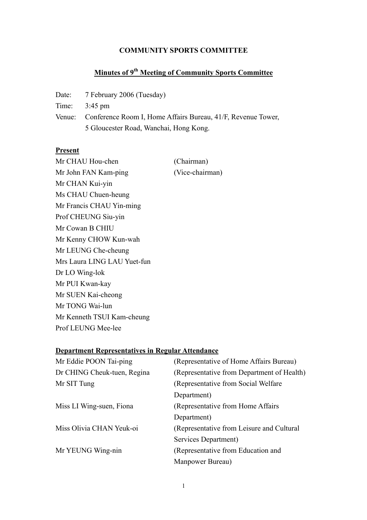#### **COMMUNITY SPORTS COMMITTEE**

# **Minutes of 9th Meeting of Community Sports Committee**

Date: 7 February 2006 (Tuesday)

Time: 3:45 pm

Venue: Conference Room I, Home Affairs Bureau, 41/F, Revenue Tower, 5 Gloucester Road, Wanchai, Hong Kong.

#### **Present**

Mr CHAU Hou-chen (Chairman) Mr John FAN Kam-ping (Vice-chairman) Mr CHAN Kui-yin Ms CHAU Chuen-heung Mr Francis CHAU Yin-ming Prof CHEUNG Siu-yin Mr Cowan B CHIU Mr Kenny CHOW Kun-wah Mr LEUNG Che-cheung Mrs Laura LING LAU Yuet-fun Dr LO Wing-lok Mr PUI Kwan-kay Mr SUEN Kai-cheong Mr TONG Wai-lun Mr Kenneth TSUI Kam-cheung Prof LEUNG Mee-lee

#### **Department Representatives in Regular Attendance**

| Mr Eddie POON Tai-ping      | (Representative of Home Affairs Bureau)    |
|-----------------------------|--------------------------------------------|
| Dr CHING Cheuk-tuen, Regina | (Representative from Department of Health) |
| Mr SIT Tung                 | (Representative from Social Welfare)       |
|                             | Department)                                |
| Miss LI Wing-suen, Fiona    | (Representative from Home Affairs)         |
|                             | Department)                                |
| Miss Olivia CHAN Yeuk-oi    | (Representative from Leisure and Cultural) |
|                             | Services Department)                       |
| Mr YEUNG Wing-nin           | (Representative from Education and         |
|                             | Manpower Bureau)                           |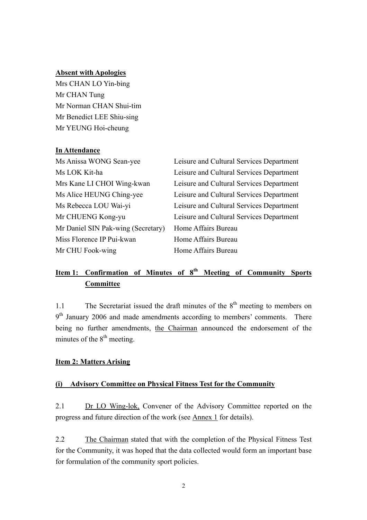# **Absent with Apologies**

Mrs CHAN LO Yin-bing Mr CHAN Tung Mr Norman CHAN Shui-tim Mr Benedict LEE Shiu-sing Mr YEUNG Hoi-cheung

## **In Attendance**

| Ms Anissa WONG Sean-yee            | Leisure and Cultural Services Department |
|------------------------------------|------------------------------------------|
| Ms LOK Kit-ha                      | Leisure and Cultural Services Department |
| Mrs Kane LI CHOI Wing-kwan         | Leisure and Cultural Services Department |
| Ms Alice HEUNG Ching-yee           | Leisure and Cultural Services Department |
| Ms Rebecca LOU Wai-yi              | Leisure and Cultural Services Department |
| Mr CHUENG Kong-yu                  | Leisure and Cultural Services Department |
| Mr Daniel SIN Pak-wing (Secretary) | Home Affairs Bureau                      |
| Miss Florence IP Pui-kwan          | Home Affairs Bureau                      |
| Mr CHU Fook-wing                   | Home Affairs Bureau                      |

# **Item 1: Confirmation of Minutes of 8th Meeting of Community Sports Committee**

1.1 The Secretariat issued the draft minutes of the  $8<sup>th</sup>$  meeting to members on  $9<sup>th</sup>$  January 2006 and made amendments according to members' comments. There being no further amendments, the Chairman announced the endorsement of the minutes of the  $8<sup>th</sup>$  meeting.

## **Item 2: Matters Arising**

## **(i) Advisory Committee on Physical Fitness Test for the Community**

2.1 Dr LO Wing-lok, Convener of the Advisory Committee reported on the progress and future direction of the work (see Annex 1 for details).

2.2 The Chairman stated that with the completion of the Physical Fitness Test for the Community, it was hoped that the data collected would form an important base for formulation of the community sport policies.

2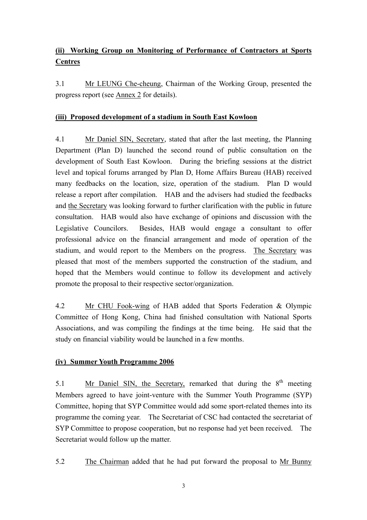# **(ii) Working Group on Monitoring of Performance of Contractors at Sports Centres**

3.1 Mr LEUNG Che-cheung, Chairman of the Working Group, presented the progress report (see Annex 2 for details).

## **(iii) Proposed development of a stadium in South East Kowloon**

4.1 Mr Daniel SIN, Secretary, stated that after the last meeting, the Planning Department (Plan D) launched the second round of public consultation on the development of South East Kowloon. During the briefing sessions at the district level and topical forums arranged by Plan D, Home Affairs Bureau (HAB) received many feedbacks on the location, size, operation of the stadium. Plan D would release a report after compilation. HAB and the advisers had studied the feedbacks and the Secretary was looking forward to further clarification with the public in future consultation. HAB would also have exchange of opinions and discussion with the Legislative Councilors. Besides, HAB would engage a consultant to offer professional advice on the financial arrangement and mode of operation of the stadium, and would report to the Members on the progress. The Secretary was pleased that most of the members supported the construction of the stadium, and hoped that the Members would continue to follow its development and actively promote the proposal to their respective sector/organization.

4.2 Mr CHU Fook-wing of HAB added that Sports Federation & Olympic Committee of Hong Kong, China had finished consultation with National Sports Associations, and was compiling the findings at the time being. He said that the study on financial viability would be launched in a few months.

# **(iv) Summer Youth Programme 2006**

5.1 Mr Daniel SIN, the Secretary, remarked that during the  $8<sup>th</sup>$  meeting Members agreed to have joint-venture with the Summer Youth Programme (SYP) Committee, hoping that SYP Committee would add some sport-related themes into its programme the coming year. The Secretariat of CSC had contacted the secretariat of SYP Committee to propose cooperation, but no response had yet been received. The Secretariat would follow up the matter.

5.2 The Chairman added that he had put forward the proposal to Mr Bunny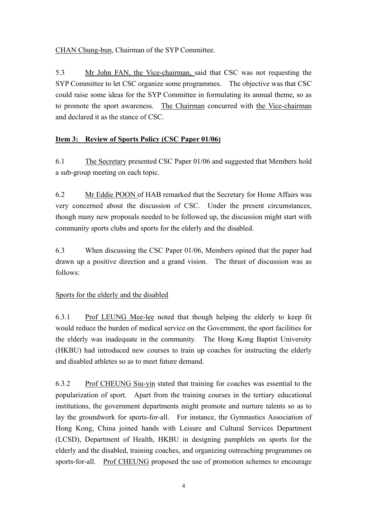CHAN Chung-bun, Chairman of the SYP Committee.

5.3 Mr John FAN, the Vice-chairman, said that CSC was not requesting the SYP Committee to let CSC organize some programmes. The objective was that CSC could raise some ideas for the SYP Committee in formulating its annual theme, so as to promote the sport awareness. The Chairman concurred with the Vice-chairman and declared it as the stance of CSC.

# **Item 3: Review of Sports Policy (CSC Paper 01/06)**

6.1 The Secretary presented CSC Paper 01/06 and suggested that Members hold a sub-group meeting on each topic.

6.2 Mr Eddie POON of HAB remarked that the Secretary for Home Affairs was very concerned about the discussion of CSC. Under the present circumstances, though many new proposals needed to be followed up, the discussion might start with community sports clubs and sports for the elderly and the disabled.

6.3 When discussing the CSC Paper 01/06, Members opined that the paper had drawn up a positive direction and a grand vision. The thrust of discussion was as follows:

# Sports for the elderly and the disabled

6.3.1 Prof LEUNG Mee-lee noted that though helping the elderly to keep fit would reduce the burden of medical service on the Government, the sport facilities for the elderly was inadequate in the community. The Hong Kong Baptist University (HKBU) had introduced new courses to train up coaches for instructing the elderly and disabled athletes so as to meet future demand.

6.3.2 Prof CHEUNG Siu-yin stated that training for coaches was essential to the popularization of sport. Apart from the training courses in the tertiary educational institutions, the government departments might promote and nurture talents so as to lay the groundwork for sports-for-all. For instance, the Gymnastics Association of Hong Kong, China joined hands with Leisure and Cultural Services Department (LCSD), Department of Health, HKBU in designing pamphlets on sports for the elderly and the disabled, training coaches, and organizing outreaching programmes on sports-for-all. Prof CHEUNG proposed the use of promotion schemes to encourage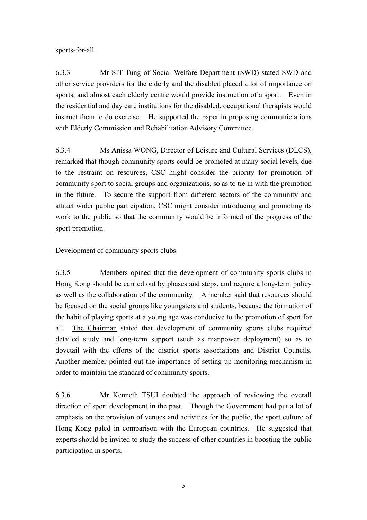sports-for-all.

6.3.3 Mr SIT Tung of Social Welfare Department (SWD) stated SWD and other service providers for the elderly and the disabled placed a lot of importance on sports, and almost each elderly centre would provide instruction of a sport. Even in the residential and day care institutions for the disabled, occupational therapists would instruct them to do exercise. He supported the paper in proposing communiciations with Elderly Commission and Rehabilitation Advisory Committee.

6.3.4 Ms Anissa WONG, Director of Leisure and Cultural Services (DLCS), remarked that though community sports could be promoted at many social levels, due to the restraint on resources, CSC might consider the priority for promotion of community sport to social groups and organizations, so as to tie in with the promotion in the future. To secure the support from different sectors of the community and attract wider public participation, CSC might consider introducing and promoting its work to the public so that the community would be informed of the progress of the sport promotion.

# Development of community sports clubs

6.3.5 Members opined that the development of community sports clubs in Hong Kong should be carried out by phases and steps, and require a long-term policy as well as the collaboration of the community. A member said that resources should be focused on the social groups like youngsters and students, because the formation of the habit of playing sports at a young age was conducive to the promotion of sport for all. The Chairman stated that development of community sports clubs required detailed study and long-term support (such as manpower deployment) so as to dovetail with the efforts of the district sports associations and District Councils. Another member pointed out the importance of setting up monitoring mechanism in order to maintain the standard of community sports.

6.3.6 Mr Kenneth TSUI doubted the approach of reviewing the overall direction of sport development in the past. Though the Government had put a lot of emphasis on the provision of venues and activities for the public, the sport culture of Hong Kong paled in comparison with the European countries. He suggested that experts should be invited to study the success of other countries in boosting the public participation in sports.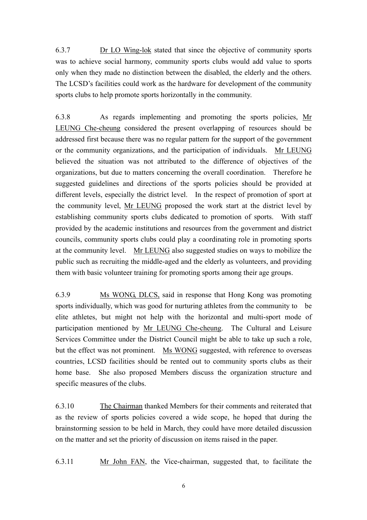6.3.7 Dr LO Wing-lok stated that since the objective of community sports was to achieve social harmony, community sports clubs would add value to sports only when they made no distinction between the disabled, the elderly and the others. The LCSD's facilities could work as the hardware for development of the community sports clubs to help promote sports horizontally in the community.

6.3.8 As regards implementing and promoting the sports policies, Mr LEUNG Che-cheung considered the present overlapping of resources should be addressed first because there was no regular pattern for the support of the government or the community organizations, and the participation of individuals. Mr LEUNG believed the situation was not attributed to the difference of objectives of the organizations, but due to matters concerning the overall coordination. Therefore he suggested guidelines and directions of the sports policies should be provided at different levels, especially the district level. In the respect of promotion of sport at the community level, Mr LEUNG proposed the work start at the district level by establishing community sports clubs dedicated to promotion of sports. With staff provided by the academic institutions and resources from the government and district councils, community sports clubs could play a coordinating role in promoting sports at the community level. Mr LEUNG also suggested studies on ways to mobilize the public such as recruiting the middle-aged and the elderly as volunteers, and providing them with basic volunteer training for promoting sports among their age groups.

6.3.9 Ms WONG, DLCS, said in response that Hong Kong was promoting sports individually, which was good for nurturing athletes from the community to be elite athletes, but might not help with the horizontal and multi-sport mode of participation mentioned by Mr LEUNG Che-cheung. The Cultural and Leisure Services Committee under the District Council might be able to take up such a role, but the effect was not prominent. Ms WONG suggested, with reference to overseas countries, LCSD facilities should be rented out to community sports clubs as their home base. She also proposed Members discuss the organization structure and specific measures of the clubs.

6.3.10 The Chairman thanked Members for their comments and reiterated that as the review of sports policies covered a wide scope, he hoped that during the brainstorming session to be held in March, they could have more detailed discussion on the matter and set the priority of discussion on items raised in the paper.

6.3.11 Mr John FAN, the Vice-chairman, suggested that, to facilitate the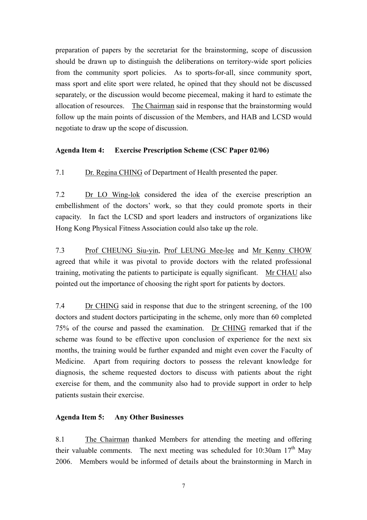preparation of papers by the secretariat for the brainstorming, scope of discussion should be drawn up to distinguish the deliberations on territory-wide sport policies from the community sport policies. As to sports-for-all, since community sport, mass sport and elite sport were related, he opined that they should not be discussed separately, or the discussion would become piecemeal, making it hard to estimate the allocation of resources. The Chairman said in response that the brainstorming would follow up the main points of discussion of the Members, and HAB and LCSD would negotiate to draw up the scope of discussion.

## **Agenda Item 4: Exercise Prescription Scheme (CSC Paper 02/06)**

7.1 Dr. Regina CHING of Department of Health presented the paper.

7.2 Dr LO Wing-lok considered the idea of the exercise prescription an embellishment of the doctors' work, so that they could promote sports in their capacity. In fact the LCSD and sport leaders and instructors of organizations like Hong Kong Physical Fitness Association could also take up the role.

7.3 Prof CHEUNG Siu-yin, Prof LEUNG Mee-lee and Mr Kenny CHOW agreed that while it was pivotal to provide doctors with the related professional training, motivating the patients to participate is equally significant. Mr CHAU also pointed out the importance of choosing the right sport for patients by doctors.

7.4 Dr CHING said in response that due to the stringent screening, of the 100 doctors and student doctors participating in the scheme, only more than 60 completed 75% of the course and passed the examination. Dr CHING remarked that if the scheme was found to be effective upon conclusion of experience for the next six months, the training would be further expanded and might even cover the Faculty of Medicine. Apart from requiring doctors to possess the relevant knowledge for diagnosis, the scheme requested doctors to discuss with patients about the right exercise for them, and the community also had to provide support in order to help patients sustain their exercise.

## **Agenda Item 5: Any Other Businesses**

8.1 The Chairman thanked Members for attending the meeting and offering their valuable comments. The next meeting was scheduled for 10:30am  $17<sup>th</sup>$  May 2006. Members would be informed of details about the brainstorming in March in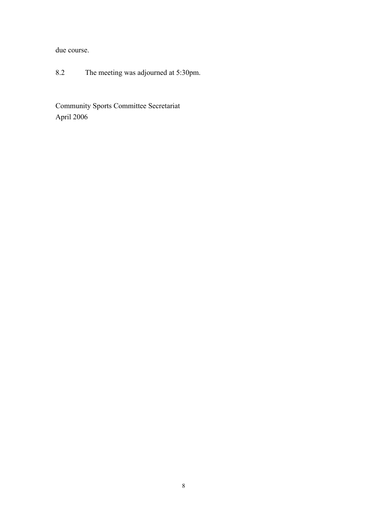due course.

8.2 The meeting was adjourned at 5:30pm.

Community Sports Committee Secretariat April 2006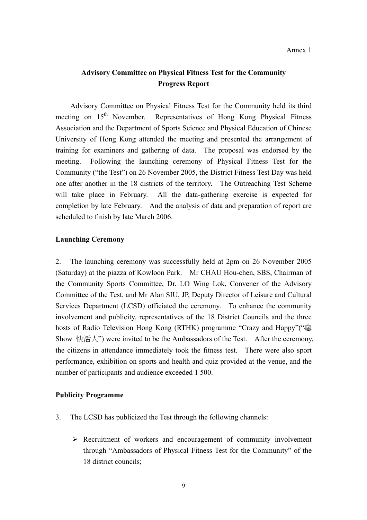# **Advisory Committee on Physical Fitness Test for the Community Progress Report**

 Advisory Committee on Physical Fitness Test for the Community held its third meeting on  $15<sup>th</sup>$  November. Representatives of Hong Kong Physical Fitness Association and the Department of Sports Science and Physical Education of Chinese University of Hong Kong attended the meeting and presented the arrangement of training for examiners and gathering of data. The proposal was endorsed by the meeting. Following the launching ceremony of Physical Fitness Test for the Community ("the Test") on 26 November 2005, the District Fitness Test Day was held one after another in the 18 districts of the territory. The Outreaching Test Scheme will take place in February. All the data-gathering exercise is expected for completion by late February. And the analysis of data and preparation of report are scheduled to finish by late March 2006.

### **Launching Ceremony**

2. The launching ceremony was successfully held at 2pm on 26 November 2005 (Saturday) at the piazza of Kowloon Park. Mr CHAU Hou-chen, SBS, Chairman of the Community Sports Committee, Dr. LO Wing Lok, Convener of the Advisory Committee of the Test, and Mr Alan SIU, JP, Deputy Director of Leisure and Cultural Services Department (LCSD) officiated the ceremony. To enhance the community involvement and publicity, representatives of the 18 District Councils and the three hosts of Radio Television Hong Kong (RTHK) programme "Crazy and Happy"("瘋 Show 快活人") were invited to be the Ambassadors of the Test. After the ceremony, the citizens in attendance immediately took the fitness test. There were also sport performance, exhibition on sports and health and quiz provided at the venue, and the number of participants and audience exceeded 1 500.

#### **Publicity Programme**

- 3. The LCSD has publicized the Test through the following channels:
	- $\triangleright$  Recruitment of workers and encouragement of community involvement through "Ambassadors of Physical Fitness Test for the Community" of the 18 district councils;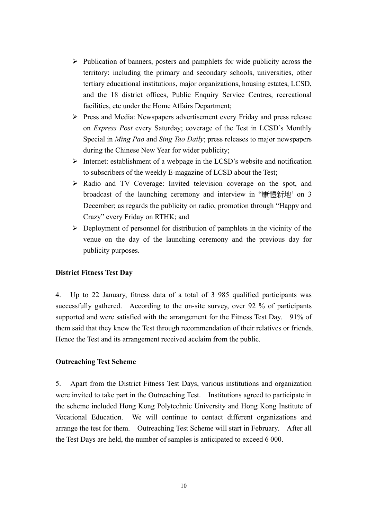- $\triangleright$  Publication of banners, posters and pamphlets for wide publicity across the territory: including the primary and secondary schools, universities, other tertiary educational institutions, major organizations, housing estates, LCSD, and the 18 district offices, Public Enquiry Service Centres, recreational facilities, etc under the Home Affairs Department;
- ¾ Press and Media: Newspapers advertisement every Friday and press release on *Express Post* every Saturday; coverage of the Test in LCSD's Monthly Special in *Ming Pao* and *Sing Tao Daily*; press releases to major newspapers during the Chinese New Year for wider publicity;
- $\triangleright$  Internet: establishment of a webpage in the LCSD's website and notification to subscribers of the weekly E-magazine of LCSD about the Test;
- ¾ Radio and TV Coverage: Invited television coverage on the spot, and broadcast of the launching ceremony and interview in "康體新地' on 3 December; as regards the publicity on radio, promotion through "Happy and Crazy" every Friday on RTHK; and
- $\triangleright$  Deployment of personnel for distribution of pamphlets in the vicinity of the venue on the day of the launching ceremony and the previous day for publicity purposes.

#### **District Fitness Test Day**

4. Up to 22 January, fitness data of a total of 3 985 qualified participants was successfully gathered. According to the on-site survey, over 92 % of participants supported and were satisfied with the arrangement for the Fitness Test Day. 91% of them said that they knew the Test through recommendation of their relatives or friends. Hence the Test and its arrangement received acclaim from the public.

### **Outreaching Test Scheme**

5. Apart from the District Fitness Test Days, various institutions and organization were invited to take part in the Outreaching Test. Institutions agreed to participate in the scheme included Hong Kong Polytechnic University and Hong Kong Institute of Vocational Education. We will continue to contact different organizations and arrange the test for them. Outreaching Test Scheme will start in February. After all the Test Days are held, the number of samples is anticipated to exceed 6 000.